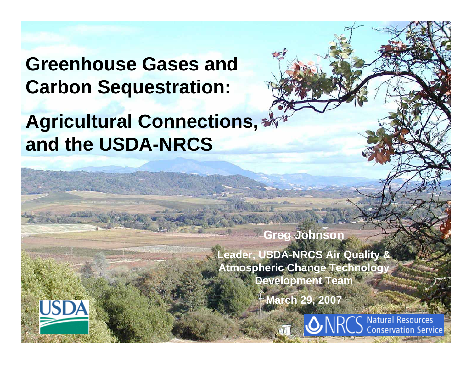## **Greenhouse Gases and Carbon Sequestration:**

# **Agricultural Connections, and the USDA-NRCS**

**Greg Johnson**

**Leader, USDA-NRCS Air Quality & Atmospheric Change Technology Development Team**

**March 29, 2007**



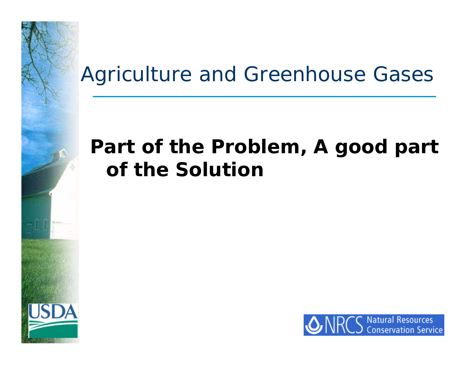### Agriculture and Greenhouse Gases

### *Part of the Problem, A good part of the Solution*

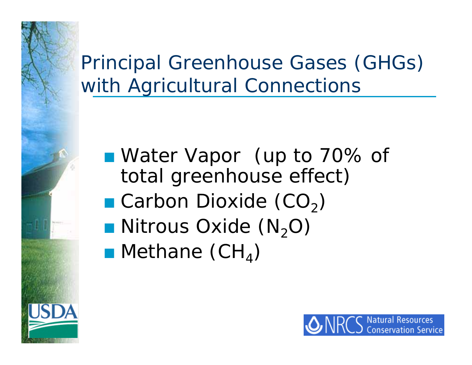Principal Greenhouse Gases (GHGs) with Agricultural Connections

Water Vapor (up to 70% of total greenhouse effect) **C**arbon Dioxide (CO<sub>2</sub>)  $\blacksquare$  Nitrous Oxide (N<sub>2</sub>O)  $\blacksquare$  Methane (CH<sub>4</sub>)

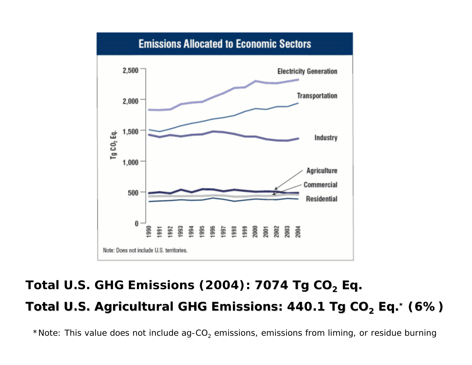

#### **Total U.S. GHG Emissions (2004): 7074 Tg CO 7074 Tg CO 2 Eq. Total U.S. Agricultural GH Total U.S. Agricultural GHG Emissions: 440.1 Tg CO G Emissions: 440.1 Tg CO 2 Eq.\* (6%)**

 $^\star$ Note: This value does not include ag-CO $_2$  emissions, emissions from liming, or residue burning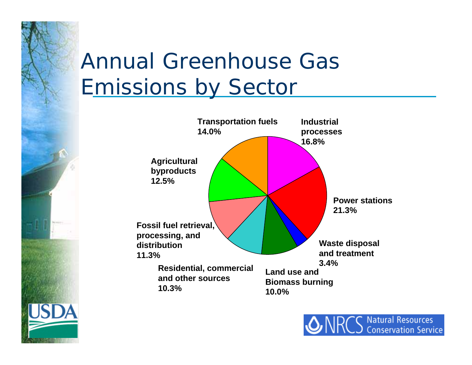# Annual Greenhouse Gas Emissions by Sector



**Natural Resources Conservation Service**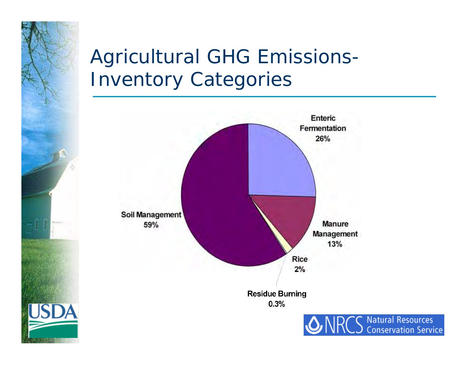# Agricultural GHG Emissions-Inventory Categories



**Natural Resources Conservation Service**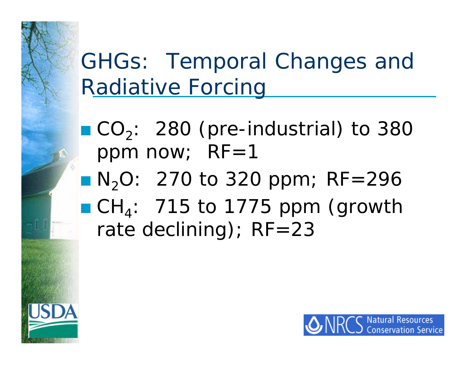# GHGs: Temporal Changes and Radiative Forcing

 $\blacksquare$   $CO_2$ : 280 (pre-industrial) to 380 ppm now;  $RF=1$  $N_2O: 270$  to 320 ppm; RF=296  $\blacksquare$  CH<sub>4</sub>: 715 to 1775 ppm (growth rate declining); RF=23

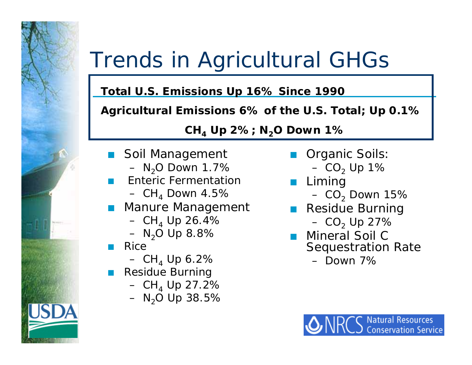# Trends in Agricultural GHGs

#### **Total U.S. Emissions Up 16% Since 1990**

#### **Agricultural Emissions 6% of the U.S. Total; Up 0.1%**

#### **CH 4 Up 2%; N <sup>2</sup>O Down 1%**

 $\overline{\mathcal{L}}$ 

- $\overline{\mathcal{L}}$  Soil Management
	- $-$  N $_{2}$ O Down 1.7%
- Enteric Fermentation
	- CH<sub>4</sub> Down 4.5%
- $\mathbb{R}^n$  Manure Management
	- CH<sub>4</sub> Up 26.4%
	- N<sub>2</sub>O Up 8.8%
- $\Box$  Rice
	- CH<sub>4</sub> Up 6.2%
- Residue Burning
	- CH $_{\rm 4}$  Up 27.2%
	- N<sub>2</sub>O Up 38.5%
- $\overline{\mathcal{L}}$  Organic Soils:
	- CO $_{\rm 2}$  Up 1%
	- Liming  $-$  CO $_{\rm 2}$  Down 15%
- $\mathbb{R}^n$  Residue Burning – CO $_{2}$  Up 27%
- **D** Mineral Soil C Sequestration Rate
	- Down 7%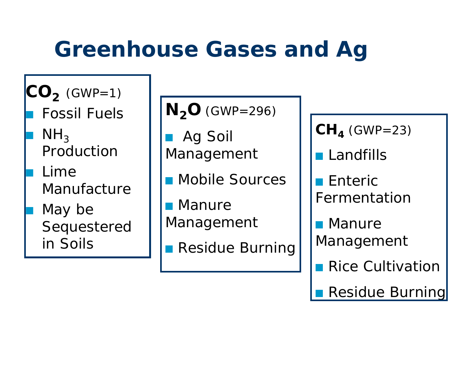# **Greenhouse Gases and Ag**

 $\mathbf{CO}_{\mathbf{2}}^{\mathbf{}}$  (GWP=1) Fossil Fuels

 $\blacksquare$  NH<sub>3</sub> Production

 $\mathbb{R}^2$ 

 $\Box$ 

 Lime Manufacture

 May be Sequestered in Soils

**N 2O** (GWP=296)

 $\overline{\mathcal{L}}$  Ag Soil Management

 $\mathbb{R}^2$ Mobile Sources

 Manure Management

Residue Burning

**CH 4** (GWP=23)

**Landfills** 

 $\blacksquare$  Enteric Fermentation

**D** Manure Management

 $\blacksquare$  Rice Cultivation

 $\overline{\mathbb{R}}$ Residue Burning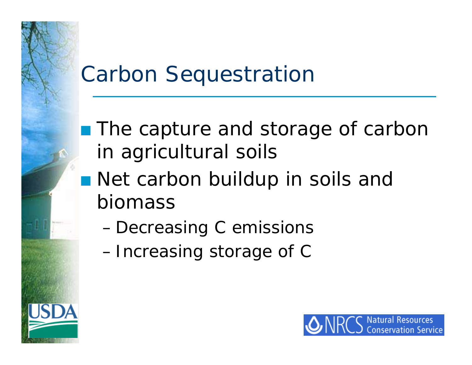## Carbon Sequestration

- The capture and storage of carbon in agricultural soils
- **Net carbon buildup in soils and** biomass
	- –Decreasing C emissions
	- –Increasing storage of C

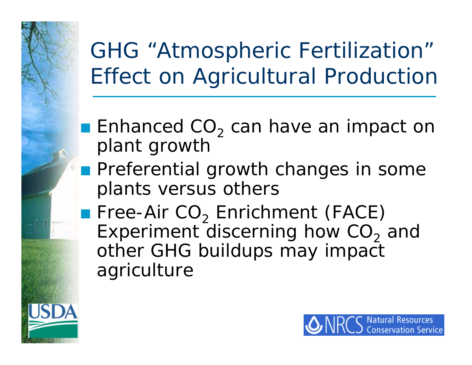GHG "Atmospheric Fertilization" Effect on Agricultural Production

- $\blacksquare$  Enhanced CO<sub>2</sub> can have an impact on plant growth
- **Preferential growth changes in some** plants versus others

 $\blacksquare$  Free-Air CO $_2$  Enrichment (FACE) Experiment discerning how CO $_2$  and other GHG buildups may impact agriculture

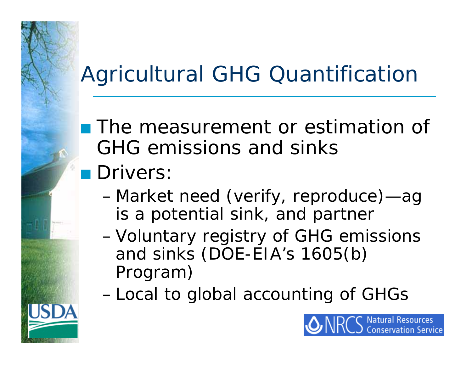# Agricultural GHG Quantification

**The measurement or estimation of** GHG emissions and sinks

## **n** *Drivers*.

- – Market need (verify, reproduce)—ag is a potential sink, and partner
- Voluntary registry of GHG emissions and sinks (DOE-EIA's 1605(b) Program)
- –Local to global accounting of GHGs

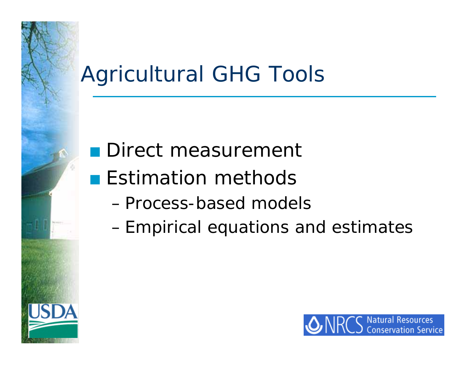# Agricultural GHG Tools

## **Direct measurement**

- **Estimation methods** 
	- Process-based models
	- –Empirical equations and estimates

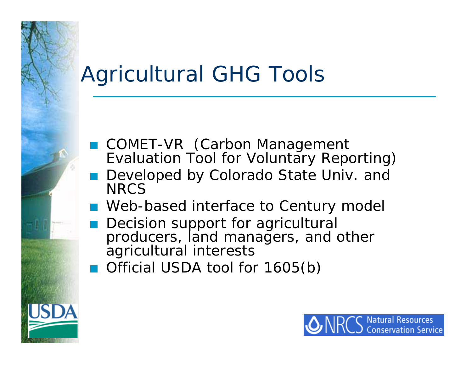# Agricultural GHG Tools

- COMET-VR (Carbon Management Evaluation Tool for Voluntary Reporting)
- Developed by Colorado State Univ. and **NRCS**
- Web-based interface to Century model
- **Decision support for agricultural** producers, land managers, and other agricultural interests
- Official USDA tool for 1605(b)

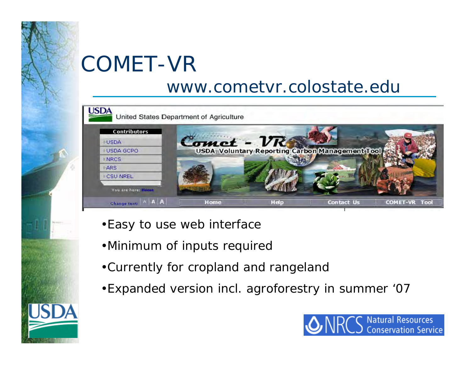# COMET-VR

#### www.cometvr.colostate.edu



- •Easy to use web interface
- •Minimum of inputs required
- •Currently for cropland and rangeland
- •Expanded version incl. agroforestry in summer '07

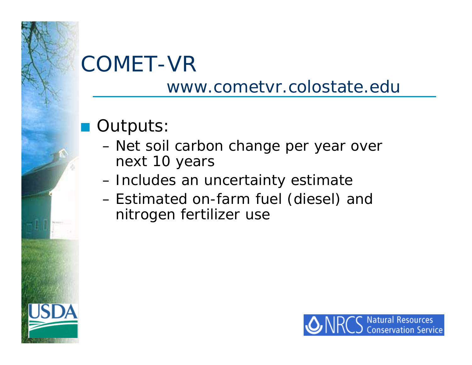# COMET-VR

#### www.cometvr.colostate.edu

### Outputs:

- – Net soil carbon change per year over next 10 years
- Includes an uncertainty estimate
- – Estimated on-farm fuel (diesel) and nitrogen fertilizer use

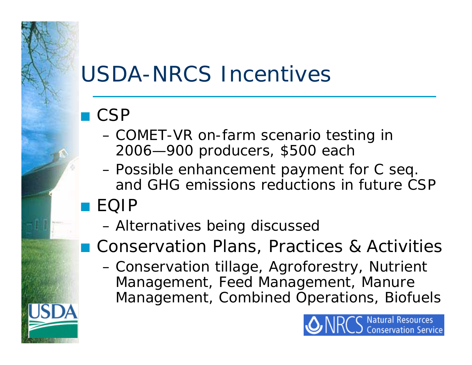# USDA-NRCS Incentives

#### $\blacksquare$  CSP

- – COMET-VR on-farm scenario testing in 2006—900 producers, \$500 each
- Possible enhancement payment for C seq. and GHG emissions reductions in future CSPQ EQIP
	- –Alternatives being discussed
- Conservation Plans, Practices & Activities
	- Conservation tillage, Agroforestry, Nutrient Management, Feed Management, Manure Management, Combined Operations, Biofuels

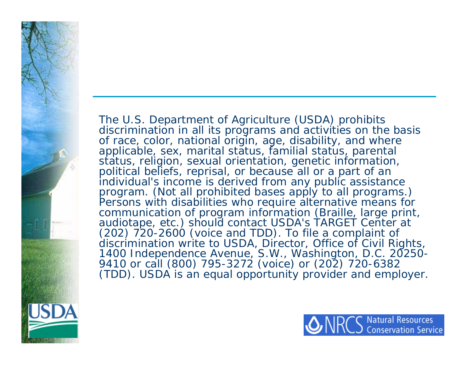The U.S. Department of Agriculture (USDA) prohibits discrimination in all its programs and activities on the basis of race, color, national origin, age, disability, and where applicable, sex, marital status, familial status, parental status, religion, sexual orientation, genetic information, political beliefs, reprisal, or because all or a part of an individual's income is derived from any public assistance<br>program. (Not all prohibited bases apply to all programs.) Persons with disabilities who require alternative means for<br>communication of program information (Braille, large print,<br>audiotape, etc.) should contact USDA's TARGET Center at<br>(202) 720-2600 (voice and TDD). To file a comp discrimination write to USDA, Director, Office of Civil Rights, 1400 Independence Avenue, S.W., Washington, D.C. 20250-<br>9410 or call (800) 795-3272 (voice) or (202) 720-6382 (TDD). USDA is an equal opportunity provider and employer.